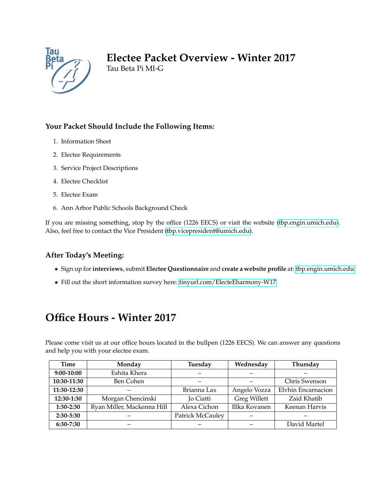

## **Electee Packet Overview - Winter 2017**

Tau Beta Pi MI-G

### **Your Packet Should Include the Following Items:**

- 1. Information Sheet
- 2. Electee Requirements
- 3. Service Project Descriptions
- 4. Electee Checklist
- 5. Electee Exam
- 6. Ann Arbor Public Schools Background Check

If you are missing something, stop by the office (1226 EECS) or visit the website [\(tbp.engin.umich.edu\)](http://tbp.engin.umich.edu). Also, feel free to contact the Vice President [\(tbp.vicepresident@umich.edu\)](mailto:tbp.vicepresident@umich.edu).

### **After Today's Meeting:**

- Sign up for**interviews**, submit **Electee Questionnaire** and **create a website profile** at: [tbp.engin.umich.edu](http://tbp.engin.umich.edu)
- Fill out the short information survey here: [tinyurl.com/ElecteEharmony-W17](http://tinyurl.com/ElecteEharmony-W17)

## **Office Hours - Winter 2017**

Please come visit us at our office hours located in the bullpen (1226 EECS). We can answer any questions and help you with your electee exam.

| Time        | Monday                     | Tuesday          | Wednesday           | Thursday           |
|-------------|----------------------------|------------------|---------------------|--------------------|
| 9:00-10:00  | Eshita Khera               |                  |                     |                    |
| 10:30-11:30 | Ben Cohen                  |                  |                     | Chris Swenson      |
| 11:30-12:30 |                            | Brianna Lax      | Angelo Vozza        | Elvhin Encarnacion |
| 12:30-1:30  | Morgan Chencinski          | <b>Jo Ciatti</b> | <b>Greg Willett</b> | Zaid Khatib        |
| 1:30-2:30   | Ryan Miller, Mackenna Hill | Alexa Cichon     | Illka Kovanen       | Keenan Harvis      |
| 2:30-3:30   |                            | Patrick McCauley |                     |                    |
| 6:30-7:30   |                            |                  |                     | David Martel       |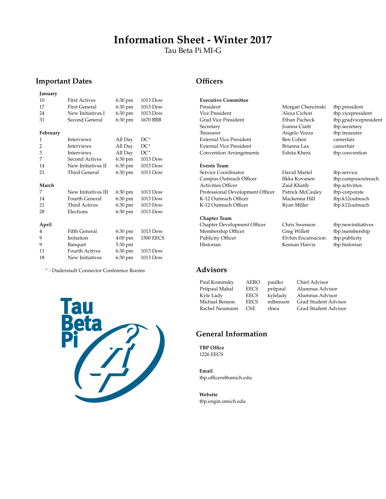## **Information Sheet - Winter 2017**

Tau Beta Pi MI-G

#### **Important Dates**

| January        |                       |                   |                  |
|----------------|-----------------------|-------------------|------------------|
| 10             | <b>First Actives</b>  | 6:30 pm           | 1013 Dow         |
| 17             | <b>First General</b>  | $6:30 \text{ pm}$ | 1013 Dow         |
| 24             | New Initiatives I     | 6:30 pm           | 1013 Dow         |
| 31             | Second General        | 6:30 pm           | 1670 BBB         |
| February       |                       |                   |                  |
| 1              | Interviews            | All Day           | $DC^*$           |
| $\overline{2}$ | <b>Interviews</b>     | All Day           | $DC^*$           |
| 3              | <b>Interviews</b>     | All Day           | $DC^*$           |
| 7              | Second Actives        | 6:30 pm           | 1013 Dow         |
| 14             | New Initiatives II    | 6:30 pm           | 1013 Dow         |
| 21             | Third General         | 6:30 pm           | 1013 Dow         |
| March          |                       |                   |                  |
| 7              | New Initiatives III   | 6:30 pm           | 1013 Dow         |
| 14             | <b>Fourth General</b> | 6:30 pm           | 1013 Dow         |
| 21             | <b>Third Actives</b>  | 6:30 pm           | 1013 Dow         |
| 28             | Elections             | 6:30 pm           | 1013 Dow         |
| April          |                       |                   |                  |
| 4              | <b>Fifth General</b>  | 6:30 pm           | 1013 Dow         |
| 9              | Initiation            | $4:00 \text{ pm}$ | <b>1500 EECS</b> |
| 9              | Banquet               | 5:30 pm           |                  |
| 11             | Fourth Actives        | 6:30 pm           | 1013 Dow         |
| 18             | New Initiatives       | $6:30$ pm         | 1013 Dow         |

<sup>∗</sup> - Duderstadt Connector Conference Rooms



#### **Officers**

| <b>Executive Committee</b>     |                   |                 |
|--------------------------------|-------------------|-----------------|
| President                      | Morgan Chencinski | tbp.president   |
| Vice President                 | Alexa Cichon      | tbp.vicepreside |
| Grad Vice President            | Ethan Pacheck     | tbp.gradvicepre |
| Secretary                      | Joanna Ciatti     | tbp.secretary   |
| Treasurer                      | Angelo Vozza      | tbp.treasurer   |
| <b>External Vice President</b> | Ben Cohen         | careerfair      |
| <b>External Vice President</b> | Brianna Lax       | careerfair      |
| <b>Convention Arrangements</b> | Eshita Khera      | tbp.convention  |
|                                |                   |                 |
| <b>Events Team</b>             |                   |                 |

Service Coordinator David Martel tbp.service Campus Outreach Officer Ilkka Kovanen Activities Officer **Ilkka** Kovanen East Activities Officer Zaid Khatib tbp.activities<br>
Professional Development Officer Patrick McCauley tbp-corporate Professional Development Officer Patrick McCauley tbp-corporate K-12 Outreach Officer Mackenna Hill tbp.k12outreach K-12 Outreach Officer Ryan Miller tbp.k12outreach

**Chapter Team** Chapter Development Officer Chris Swenson tbp.newinitiatives Membership Officer Greg Willett tbp.membership Publicity Officer Elvhin Encarnacion tbp.publicity

#### **Advisors**

Paul Kominsky AERO paulko Chief Advisor Pritpaul Mahal EECS pritpaul Alumnus Advisor Kyle Lady EECS kylelady Alumnus Advisor Michael Benson EECS mlbenson Grad Student Advisor ChE rlneu Grad Student Advisor

### **General Information**

**TBP Office** 1226 EECS

**Email** tbp.officers@umich.edu

**Website** tbp.engin.umich.edu

- tbp.vicepresident tbp.gradvicepresident tbp.secretary tbp.treasurer careerfair
	-

Historian Keenan Harvis tbp.historian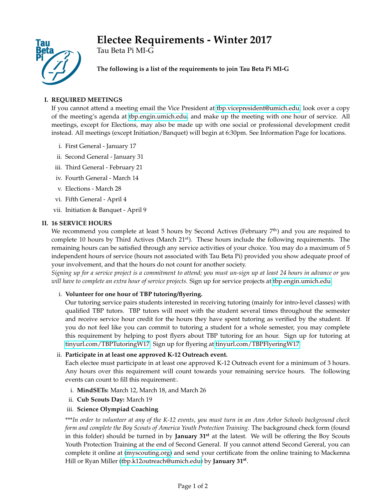# **Electee Requirements - Winter 2017**



Tau Beta Pi MI-G

**The following is a list of the requirements to join Tau Beta Pi MI-G**

### **I. REQUIRED MEETINGS**

If you cannot attend a meeting email the Vice President at [tbp.vicepresident@umich.edu,](mailto:tbp.vicepresident@umich.edu) look over a copy of the meeting's agenda at [tbp.engin.umich.edu,](http://tbp.engin.umich.edu) and make up the meeting with one hour of service. All meetings, except for Elections, may also be made up with one social or professional development credit instead. All meetings (except Initiation/Banquet) will begin at 6:30pm. See Information Page for locations.

- i. First General January 17
- ii. Second General January 31
- iii. Third General February 21
- iv. Fourth General March 14
- v. Elections March 28
- vi. Fifth General April 4
- vii. Initiation & Banquet April 9

#### **II. 16 SERVICE HOURS**

We recommend you complete at least 5 hours by Second Actives (February 7<sup>th</sup>) and you are required to complete 10 hours by Third Actives (March  $21<sup>st</sup>$ ). These hours include the following requirements. The remaining hours can be satisfied through any service activities of your choice. You may do a maximum of 5 independent hours of service (hours not associated with Tau Beta Pi) provided you show adequate proof of your involvement, and that the hours do not count for another society.

*Signing up for a service project is a commitment to attend; you must un-sign up at least 24 hours in advance or you will have to complete an extra hour of service projects.* Sign up for service projects at [tbp.engin.umich.edu.](http://tbp.engin.umich.edu)

#### i. **Volunteer for one hour of TBP tutoring/flyering.**

Our tutoring service pairs students interested in receiving tutoring (mainly for intro-level classes) with qualified TBP tutors. TBP tutors will meet with the student several times throughout the semester and receive service hour credit for the hours they have spent tutoring as verified by the student. If you do not feel like you can commit to tutoring a student for a whole semester, you may complete this requirement by helping to post flyers about TBP tutoring for an hour. Sign up for tutoring at [tinyurl.com/TBPTutoringW17.](http://tinyurl.com/TBPTutoringW17) Sign up for flyering at [tinyurl.com/TBPFlyeringW17.](http://tinyurl.com/TBPFlyeringW17)

#### ii. **Participate in at least one approved K-12 Outreach event.**

Each electee must participate in at least one approved K-12 Outreach event for a minimum of 3 hours. Any hours over this requirement will count towards your remaining service hours. The following events can count to fill this requirement:.

- i. **MindSETs:** March 12, March 18, and March 26
- ii. **Cub Scouts Day:** March 19

#### iii. **Science Olympiad Coaching**

\*\*\**In order to volunteer at any of the K-12 events, you must turn in an Ann Arbor Schools background check form and complete the Boy Scouts of America Youth Protection Training.* The background check form (found in this folder) should be turned in by **January 31st** at the latest. We will be offering the Boy Scouts Youth Protection Training at the end of Second General. If you cannot attend Second Gereral, you can complete it online at [\(myscouting.org\)](mailto:myscouting.org ) and send your certificate from the online training to Mackenna Hill or Ryan Miller [\(tbp.k12outreach@umich.edu\)](mailto:tbp.k12outreach@umich.edu ) by **January 31st** .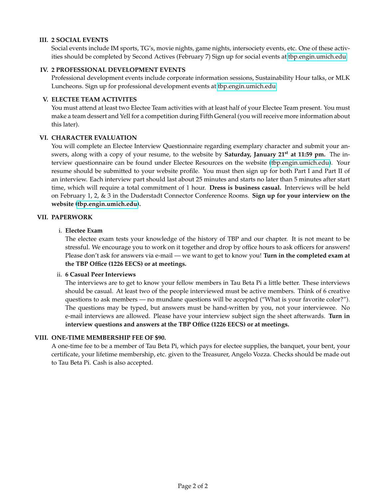#### **III. 2 SOCIAL EVENTS**

Social events include IM sports, TG's, movie nights, game nights, intersociety events, etc. One of these activities should be completed by Second Actives (February 7) Sign up for social events at [tbp.engin.umich.edu.](http://tbp.engin.umich.edu)

#### **IV. 2 PROFESSIONAL DEVELOPMENT EVENTS**

Professional development events include corporate information sessions, Sustainability Hour talks, or MLK Luncheons. Sign up for professional development events at [tbp.engin.umich.edu.](http://tbp.engin.umich.edu)

#### **V. ELECTEE TEAM ACTIVITES**

You must attend at least two Electee Team activities with at least half of your Electee Team present. You must make a team dessert and Yell for a competition during Fifth General (you will receive more information about this later).

#### **VI. CHARACTER EVALUATION**

You will complete an Electee Interview Questionnaire regarding exemplary character and submit your answers, along with a copy of your resume, to the website by **Saturday, January 21st at 11:59 pm.** The interview questionnaire can be found under Electee Resources on the website [\(tbp.engin.umich.edu\)](http://tbp.engin.umich.edu). Your resume should be submitted to your website profile. You must then sign up for both Part I and Part II of an interview. Each interview part should last about 25 minutes and starts no later than 5 minutes after start time, which will require a total commitment of 1 hour. **Dress is business casual.** Interviews will be held on February 1, 2, & 3 in the Duderstadt Connector Conference Rooms. **Sign up for your interview on the website [\(tbp.engin.umich.edu\)](https://tbp.engin.umich.edu/calendar/event_list/).**

#### **VII. PAPERWORK**

#### i. **Electee Exam**

The electee exam tests your knowledge of the history of TBP and our chapter. It is not meant to be stressful. We encourage you to work on it together and drop by office hours to ask officers for answers! Please don't ask for answers via e-mail — we want to get to know you! **Turn in the completed exam at the TBP Office (1226 EECS) or at meetings.**

#### ii. **6 Casual Peer Interviews**

The interviews are to get to know your fellow members in Tau Beta Pi a little better. These interviews should be casual. At least two of the people interviewed must be active members. Think of 6 creative questions to ask members — no mundane questions will be accepted ("What is your favorite color?"). The questions may be typed, but answers must be hand-written by you, not your interviewee. No e-mail interviews are allowed. Please have your interview subject sign the sheet afterwards. **Turn in interview questions and answers at the TBP Office (1226 EECS) or at meetings.**

#### **VIII. ONE-TIME MEMBERSHIP FEE OF \$90.**

A one-time fee to be a member of Tau Beta Pi, which pays for electee supplies, the banquet, your bent, your certificate, your lifetime membership, etc. given to the Treasurer, Angelo Vozza. Checks should be made out to Tau Beta Pi. Cash is also accepted.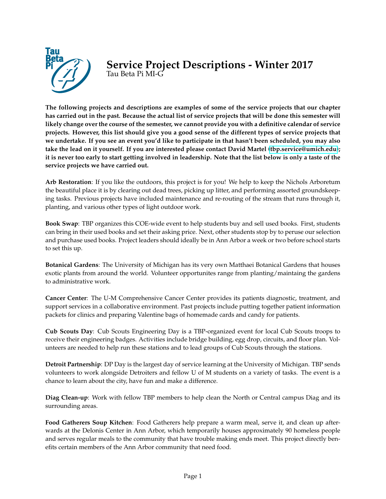

## **Service Project Descriptions - Winter 2017** Tau Beta Pi MI-G

**The following projects and descriptions are examples of some of the service projects that our chapter has carried out in the past. Because the actual list of service projects that will be done this semester will likely change over the course of the semester, we cannot provide you with a definitive calendar of service projects. However, this list should give you a good sense of the different types of service projects that we undertake. If you see an event you'd like to participate in that hasn't been scheduled, you may also take the lead on it yourself. If you are interested please contact David Martel [\(tbp.service@umich.edu\)](mailto:tbp.service@umich.edu); it is never too early to start getting involved in leadership. Note that the list below is only a taste of the service projects we have carried out.**

**Arb Restoration**: If you like the outdoors, this project is for you! We help to keep the Nichols Arboretum the beautiful place it is by clearing out dead trees, picking up litter, and performing assorted groundskeeping tasks. Previous projects have included maintenance and re-routing of the stream that runs through it, planting, and various other types of light outdoor work.

**Book Swap**: TBP organizes this COE-wide event to help students buy and sell used books. First, students can bring in their used books and set their asking price. Next, other students stop by to peruse our selection and purchase used books. Project leaders should ideally be in Ann Arbor a week or two before school starts to set this up.

**Botanical Gardens**: The University of Michigan has its very own Matthaei Botanical Gardens that houses exotic plants from around the world. Volunteer opportunites range from planting/maintaing the gardens to administrative work.

**Cancer Center**: The U-M Comprehensive Cancer Center provides its patients diagnostic, treatment, and support services in a collaborative environment. Past projects include putting together patient information packets for clinics and preparing Valentine bags of homemade cards and candy for patients.

**Cub Scouts Day**: Cub Scouts Engineering Day is a TBP-organized event for local Cub Scouts troops to receive their engineering badges. Activities include bridge building, egg drop, circuits, and floor plan. Volunteers are needed to help run these stations and to lead groups of Cub Scouts through the stations.

**Detroit Partnership**: DP Day is the largest day of service learning at the University of Michigan. TBP sends volunteers to work alongside Detroiters and fellow U of M students on a variety of tasks. The event is a chance to learn about the city, have fun and make a difference.

**Diag Clean-up**: Work with fellow TBP members to help clean the North or Central campus Diag and its surrounding areas.

**Food Gatherers Soup Kitchen**: Food Gatherers help prepare a warm meal, serve it, and clean up afterwards at the Delonis Center in Ann Arbor, which temporarily houses approximately 90 homeless people and serves regular meals to the community that have trouble making ends meet. This project directly benefits certain members of the Ann Arbor community that need food.